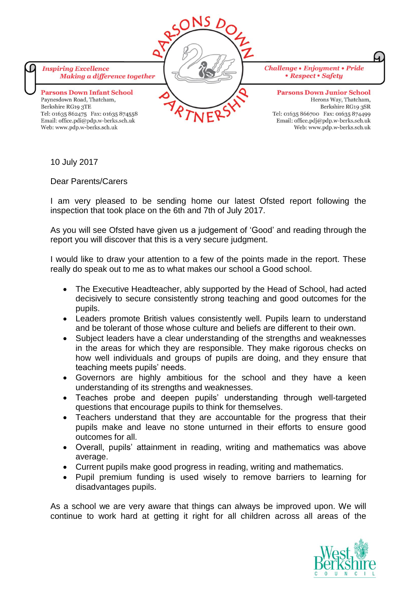

10 July 2017

Dear Parents/Carers

I am very pleased to be sending home our latest Ofsted report following the inspection that took place on the 6th and 7th of July 2017.

As you will see Ofsted have given us a judgement of 'Good' and reading through the report you will discover that this is a very secure judgment.

I would like to draw your attention to a few of the points made in the report. These really do speak out to me as to what makes our school a Good school.

- The Executive Headteacher, ably supported by the Head of School, had acted decisively to secure consistently strong teaching and good outcomes for the pupils.
- Leaders promote British values consistently well. Pupils learn to understand and be tolerant of those whose culture and beliefs are different to their own.
- Subject leaders have a clear understanding of the strengths and weaknesses in the areas for which they are responsible. They make rigorous checks on how well individuals and groups of pupils are doing, and they ensure that teaching meets pupils' needs.
- Governors are highly ambitious for the school and they have a keen understanding of its strengths and weaknesses.
- Teaches probe and deepen pupils' understanding through well-targeted questions that encourage pupils to think for themselves.
- Teachers understand that they are accountable for the progress that their pupils make and leave no stone unturned in their efforts to ensure good outcomes for all.
- Overall, pupils' attainment in reading, writing and mathematics was above average.
- Current pupils make good progress in reading, writing and mathematics.
- Pupil premium funding is used wisely to remove barriers to learning for disadvantages pupils.

As a school we are very aware that things can always be improved upon. We will continue to work hard at getting it right for all children across all areas of the